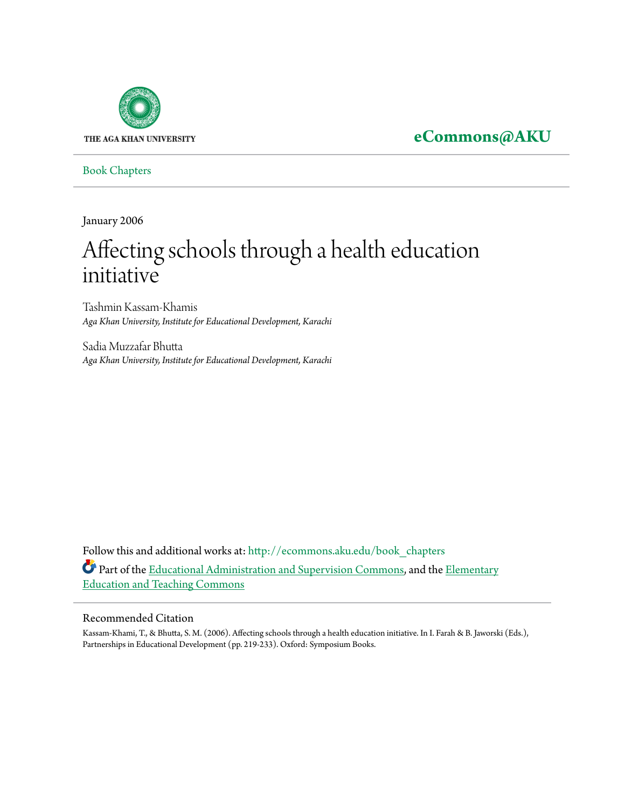

**[eCommons@AKU](http://ecommons.aku.edu?utm_source=ecommons.aku.edu%2Fbook_chapters%2F14&utm_medium=PDF&utm_campaign=PDFCoverPages)**

[Book Chapters](http://ecommons.aku.edu/book_chapters?utm_source=ecommons.aku.edu%2Fbook_chapters%2F14&utm_medium=PDF&utm_campaign=PDFCoverPages)

January 2006

# Affecting schools through a health education initiative

Tashmin Kassam-Khamis *Aga Khan University, Institute for Educational Development, Karachi*

Sadia Muzzafar Bhutta *Aga Khan University, Institute for Educational Development, Karachi*

Follow this and additional works at: [http://ecommons.aku.edu/book\\_chapters](http://ecommons.aku.edu/book_chapters?utm_source=ecommons.aku.edu%2Fbook_chapters%2F14&utm_medium=PDF&utm_campaign=PDFCoverPages) Part of the [Educational Administration and Supervision Commons,](http://network.bepress.com/hgg/discipline/787?utm_source=ecommons.aku.edu%2Fbook_chapters%2F14&utm_medium=PDF&utm_campaign=PDFCoverPages) and the [Elementary](http://network.bepress.com/hgg/discipline/805?utm_source=ecommons.aku.edu%2Fbook_chapters%2F14&utm_medium=PDF&utm_campaign=PDFCoverPages) [Education and Teaching Commons](http://network.bepress.com/hgg/discipline/805?utm_source=ecommons.aku.edu%2Fbook_chapters%2F14&utm_medium=PDF&utm_campaign=PDFCoverPages)

# Recommended Citation

Kassam-Khami, T., & Bhutta, S. M. (2006). Affecting schools through a health education initiative. In I. Farah & B. Jaworski (Eds.), Partnerships in Educational Development (pp. 219-233). Oxford: Symposium Books.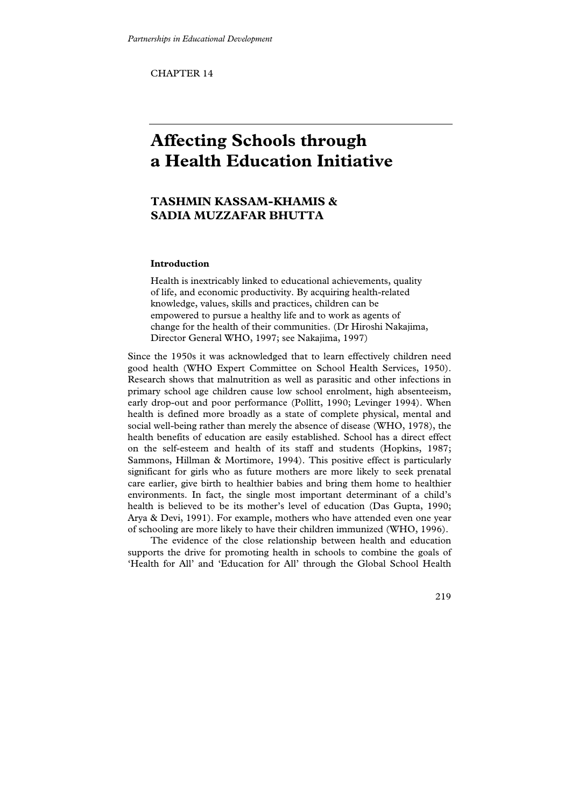CHAPTER 14

# **Affecting Schools through a Health Education Initiative**

# **TASHMIN KASSAM-KHAMIS & SADIA MUZZAFAR BHUTTA**

# **Introduction**

Health is inextricably linked to educational achievements, quality of life, and economic productivity. By acquiring health-related knowledge, values, skills and practices, children can be empowered to pursue a healthy life and to work as agents of change for the health of their communities. (Dr Hiroshi Nakajima, Director General WHO, 1997; see Nakajima, 1997)

Since the 1950s it was acknowledged that to learn effectively children need good health (WHO Expert Committee on School Health Services, 1950). Research shows that malnutrition as well as parasitic and other infections in primary school age children cause low school enrolment, high absenteeism, early drop-out and poor performance (Pollitt, 1990; Levinger 1994). When health is defined more broadly as a state of complete physical, mental and social well-being rather than merely the absence of disease (WHO, 1978), the health benefits of education are easily established. School has a direct effect on the self-esteem and health of its staff and students (Hopkins, 1987; Sammons, Hillman & Mortimore, 1994). This positive effect is particularly significant for girls who as future mothers are more likely to seek prenatal care earlier, give birth to healthier babies and bring them home to healthier environments. In fact, the single most important determinant of a child's health is believed to be its mother's level of education (Das Gupta, 1990; Arya & Devi, 1991). For example, mothers who have attended even one year of schooling are more likely to have their children immunized (WHO, 1996).

The evidence of the close relationship between health and education supports the drive for promoting health in schools to combine the goals of 'Health for All' and 'Education for All' through the Global School Health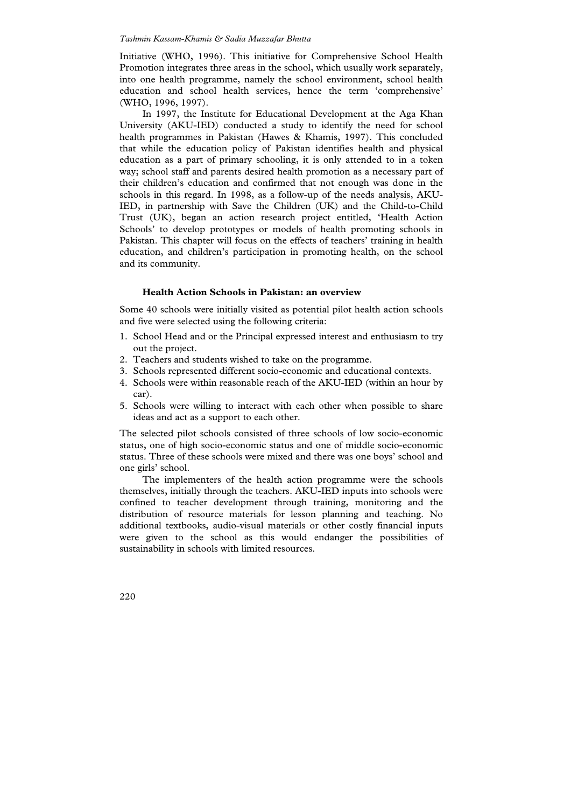Initiative (WHO, 1996). This initiative for Comprehensive School Health Promotion integrates three areas in the school, which usually work separately, into one health programme, namely the school environment, school health education and school health services, hence the term 'comprehensive' (WHO, 1996, 1997).

In 1997, the Institute for Educational Development at the Aga Khan University (AKU-IED) conducted a study to identify the need for school health programmes in Pakistan (Hawes & Khamis, 1997). This concluded that while the education policy of Pakistan identifies health and physical education as a part of primary schooling, it is only attended to in a token way; school staff and parents desired health promotion as a necessary part of their children's education and confirmed that not enough was done in the schools in this regard. In 1998, as a follow-up of the needs analysis, AKU-IED, in partnership with Save the Children (UK) and the Child-to-Child Trust (UK), began an action research project entitled, 'Health Action Schools' to develop prototypes or models of health promoting schools in Pakistan. This chapter will focus on the effects of teachers' training in health education, and children's participation in promoting health, on the school and its community.

# **Health Action Schools in Pakistan: an overview**

Some 40 schools were initially visited as potential pilot health action schools and five were selected using the following criteria:

- 1. School Head and or the Principal expressed interest and enthusiasm to try out the project.
- 2. Teachers and students wished to take on the programme.
- 3. Schools represented different socio-economic and educational contexts.
- 4. Schools were within reasonable reach of the AKU-IED (within an hour by car).
- 5. Schools were willing to interact with each other when possible to share ideas and act as a support to each other.

The selected pilot schools consisted of three schools of low socio-economic status, one of high socio-economic status and one of middle socio-economic status. Three of these schools were mixed and there was one boys' school and one girls' school.

The implementers of the health action programme were the schools themselves, initially through the teachers. AKU-IED inputs into schools were confined to teacher development through training, monitoring and the distribution of resource materials for lesson planning and teaching. No additional textbooks, audio-visual materials or other costly financial inputs were given to the school as this would endanger the possibilities of sustainability in schools with limited resources.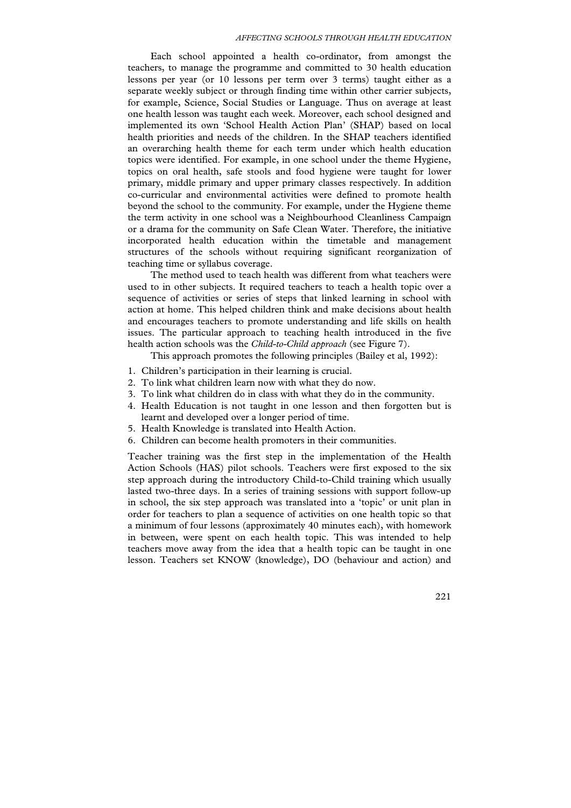Each school appointed a health co-ordinator, from amongst the teachers, to manage the programme and committed to 30 health education lessons per year (or 10 lessons per term over 3 terms) taught either as a separate weekly subject or through finding time within other carrier subjects, for example, Science, Social Studies or Language. Thus on average at least one health lesson was taught each week. Moreover, each school designed and implemented its own 'School Health Action Plan' (SHAP) based on local health priorities and needs of the children. In the SHAP teachers identified an overarching health theme for each term under which health education topics were identified. For example, in one school under the theme Hygiene, topics on oral health, safe stools and food hygiene were taught for lower primary, middle primary and upper primary classes respectively. In addition co-curricular and environmental activities were defined to promote health beyond the school to the community. For example, under the Hygiene theme the term activity in one school was a Neighbourhood Cleanliness Campaign or a drama for the community on Safe Clean Water. Therefore, the initiative incorporated health education within the timetable and management structures of the schools without requiring significant reorganization of teaching time or syllabus coverage.

The method used to teach health was different from what teachers were used to in other subjects. It required teachers to teach a health topic over a sequence of activities or series of steps that linked learning in school with action at home. This helped children think and make decisions about health and encourages teachers to promote understanding and life skills on health issues. The particular approach to teaching health introduced in the five health action schools was the *Child-to-Child approach* (see Figure 7).

This approach promotes the following principles (Bailey et al, 1992):

- 1. Children's participation in their learning is crucial.
- 2. To link what children learn now with what they do now.
- 3. To link what children do in class with what they do in the community.
- 4. Health Education is not taught in one lesson and then forgotten but is learnt and developed over a longer period of time.
- 5. Health Knowledge is translated into Health Action.
- 6. Children can become health promoters in their communities.

Teacher training was the first step in the implementation of the Health Action Schools (HAS) pilot schools. Teachers were first exposed to the six step approach during the introductory Child-to-Child training which usually lasted two-three days. In a series of training sessions with support follow-up in school, the six step approach was translated into a 'topic' or unit plan in order for teachers to plan a sequence of activities on one health topic so that a minimum of four lessons (approximately 40 minutes each), with homework in between, were spent on each health topic. This was intended to help teachers move away from the idea that a health topic can be taught in one lesson. Teachers set KNOW (knowledge), DO (behaviour and action) and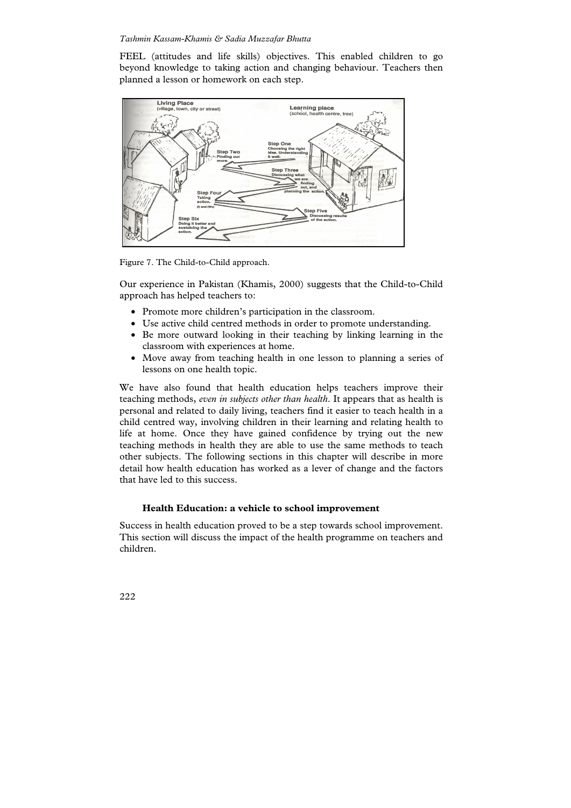FEEL (attitudes and life skills) objectives. This enabled children to go beyond knowledge to taking action and changing behaviour. Teachers then planned a lesson or homework on each step.



Figure 7. The Child-to-Child approach.

Our experience in Pakistan (Khamis, 2000) suggests that the Child-to-Child approach has helped teachers to:

- Promote more children's participation in the classroom.
- Use active child centred methods in order to promote understanding.
- Be more outward looking in their teaching by linking learning in the classroom with experiences at home.
- Move away from teaching health in one lesson to planning a series of lessons on one health topic.

We have also found that health education helps teachers improve their teaching methods, *even in subjects other than health*. It appears that as health is personal and related to daily living, teachers find it easier to teach health in a child centred way, involving children in their learning and relating health to life at home. Once they have gained confidence by trying out the new teaching methods in health they are able to use the same methods to teach other subjects. The following sections in this chapter will describe in more detail how health education has worked as a lever of change and the factors that have led to this success.

# **Health Education: a vehicle to school improvement**

Success in health education proved to be a step towards school improvement. This section will discuss the impact of the health programme on teachers and children.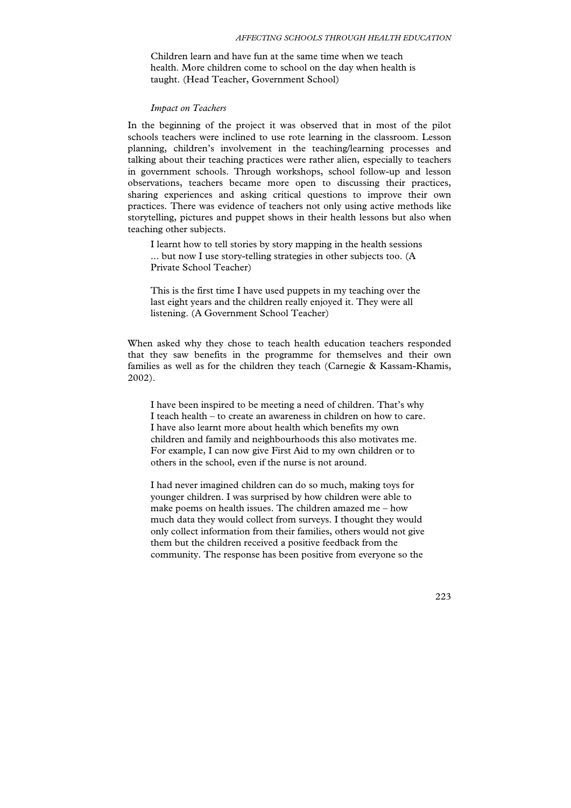Children learn and have fun at the same time when we teach health. More children come to school on the day when health is taught. (Head Teacher, Government School)

# *Impact on Teachers*

In the beginning of the project it was observed that in most of the pilot schools teachers were inclined to use rote learning in the classroom. Lesson planning, children's involvement in the teaching/learning processes and talking about their teaching practices were rather alien, especially to teachers in government schools. Through workshops, school follow-up and lesson observations, teachers became more open to discussing their practices, sharing experiences and asking critical questions to improve their own practices. There was evidence of teachers not only using active methods like storytelling, pictures and puppet shows in their health lessons but also when teaching other subjects.

I learnt how to tell stories by story mapping in the health sessions ... but now I use story-telling strategies in other subjects too. (A Private School Teacher)

This is the first time I have used puppets in my teaching over the last eight years and the children really enjoyed it. They were all listening. (A Government School Teacher)

When asked why they chose to teach health education teachers responded that they saw benefits in the programme for themselves and their own families as well as for the children they teach (Carnegie & Kassam-Khamis, 2002).

I have been inspired to be meeting a need of children. That's why I teach health – to create an awareness in children on how to care. I have also learnt more about health which benefits my own children and family and neighbourhoods this also motivates me. For example, I can now give First Aid to my own children or to others in the school, even if the nurse is not around.

I had never imagined children can do so much, making toys for younger children. I was surprised by how children were able to make poems on health issues. The children amazed me – how much data they would collect from surveys. I thought they would only collect information from their families, others would not give them but the children received a positive feedback from the community. The response has been positive from everyone so the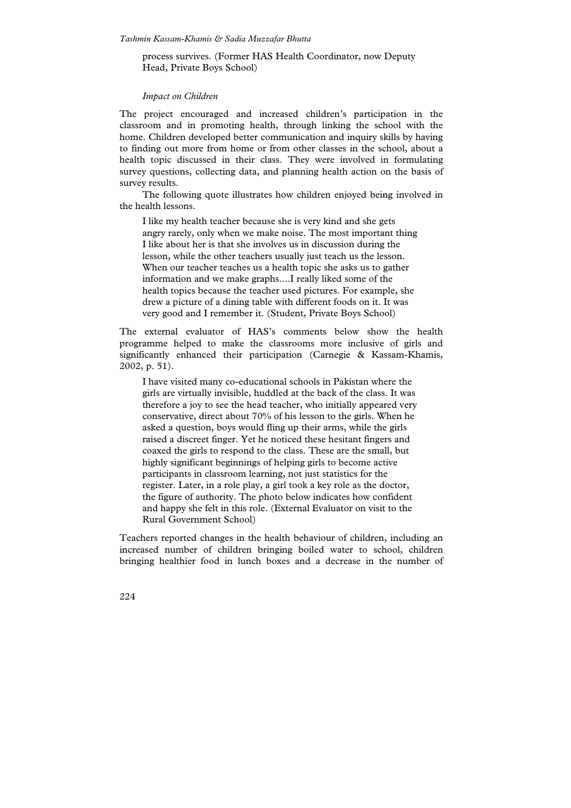process survives. (Former HAS Health Coordinator, now Deputy Head, Private Boys School)

#### *Impact on Children*

The project encouraged and increased children's participation in the classroom and in promoting health, through linking the school with the home. Children developed better communication and inquiry skills by having to finding out more from home or from other classes in the school, about a health topic discussed in their class. They were involved in formulating survey questions, collecting data, and planning health action on the basis of survey results.

The following quote illustrates how children enjoyed being involved in the health lessons.

I like my health teacher because she is very kind and she gets angry rarely, only when we make noise. The most important thing I like about her is that she involves us in discussion during the lesson, while the other teachers usually just teach us the lesson. When our teacher teaches us a health topic she asks us to gather information and we make graphs....I really liked some of the health topics because the teacher used pictures. For example, she drew a picture of a dining table with different foods on it. It was very good and I remember it. (Student, Private Boys School)

The external evaluator of HAS's comments below show the health programme helped to make the classrooms more inclusive of girls and significantly enhanced their participation (Carnegie & Kassam-Khamis, 2002, p. 51).

I have visited many co-educational schools in Pakistan where the girls are virtually invisible, huddled at the back of the class. It was therefore a joy to see the head teacher, who initially appeared very conservative, direct about 70% of his lesson to the girls. When he asked a question, boys would fling up their arms, while the girls raised a discreet finger. Yet he noticed these hesitant fingers and coaxed the girls to respond to the class. These are the small, but highly significant beginnings of helping girls to become active participants in classroom learning, not just statistics for the register. Later, in a role play, a girl took a key role as the doctor, the figure of authority. The photo below indicates how confident and happy she felt in this role. (External Evaluator on visit to the Rural Government School)

Teachers reported changes in the health behaviour of children, including an increased number of children bringing boiled water to school, children bringing healthier food in lunch boxes and a decrease in the number of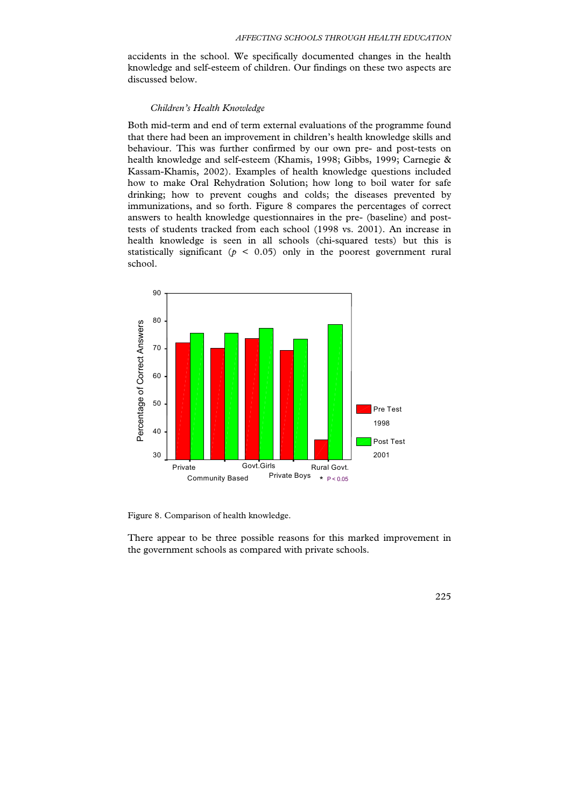accidents in the school. We specifically documented changes in the health knowledge and self-esteem of children. Our findings on these two aspects are discussed below.

#### *Children's Health Knowledge*

Both mid-term and end of term external evaluations of the programme found that there had been an improvement in children's health knowledge skills and behaviour. This was further confirmed by our own pre- and post-tests on health knowledge and self-esteem (Khamis, 1998; Gibbs, 1999; Carnegie & Kassam-Khamis, 2002). Examples of health knowledge questions included how to make Oral Rehydration Solution; how long to boil water for safe drinking; how to prevent coughs and colds; the diseases prevented by immunizations, and so forth. Figure 8 compares the percentages of correct answers to health knowledge questionnaires in the pre- (baseline) and posttests of students tracked from each school (1998 vs. 2001). An increase in health knowledge is seen in all schools (chi-squared tests) but this is statistically significant ( $p \leq 0.05$ ) only in the poorest government rural school.



Figure 8. Comparison of health knowledge.

There appear to be three possible reasons for this marked improvement in the government schools as compared with private schools.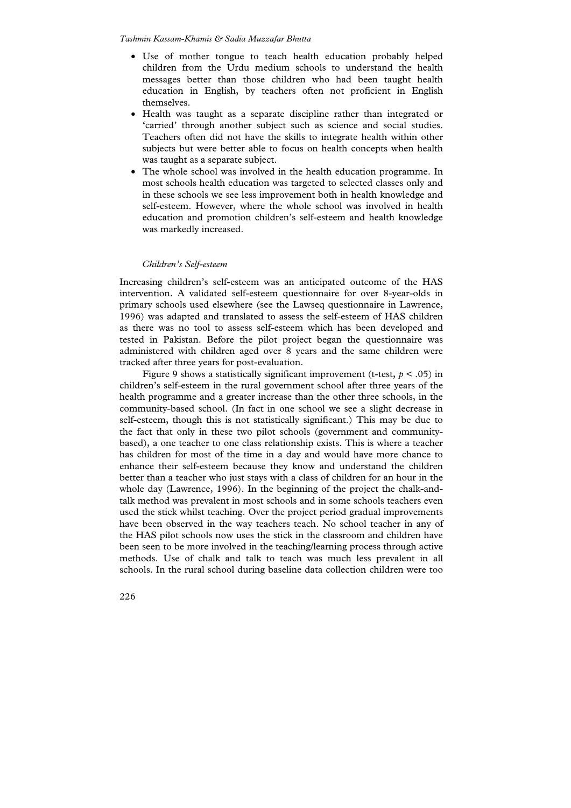- Use of mother tongue to teach health education probably helped children from the Urdu medium schools to understand the health messages better than those children who had been taught health education in English, by teachers often not proficient in English themselves.
- Health was taught as a separate discipline rather than integrated or 'carried' through another subject such as science and social studies. Teachers often did not have the skills to integrate health within other subjects but were better able to focus on health concepts when health was taught as a separate subject.
- The whole school was involved in the health education programme. In most schools health education was targeted to selected classes only and in these schools we see less improvement both in health knowledge and self-esteem. However, where the whole school was involved in health education and promotion children's self-esteem and health knowledge was markedly increased.

# *Children's Self-esteem*

Increasing children's self-esteem was an anticipated outcome of the HAS intervention. A validated self-esteem questionnaire for over 8-year-olds in primary schools used elsewhere (see the Lawseq questionnaire in Lawrence, 1996) was adapted and translated to assess the self-esteem of HAS children as there was no tool to assess self-esteem which has been developed and tested in Pakistan. Before the pilot project began the questionnaire was administered with children aged over 8 years and the same children were tracked after three years for post-evaluation.

Figure 9 shows a statistically significant improvement (t-test,  $p < .05$ ) in children's self-esteem in the rural government school after three years of the health programme and a greater increase than the other three schools, in the community-based school. (In fact in one school we see a slight decrease in self-esteem, though this is not statistically significant.) This may be due to the fact that only in these two pilot schools (government and communitybased), a one teacher to one class relationship exists. This is where a teacher has children for most of the time in a day and would have more chance to enhance their self-esteem because they know and understand the children better than a teacher who just stays with a class of children for an hour in the whole day (Lawrence, 1996). In the beginning of the project the chalk-andtalk method was prevalent in most schools and in some schools teachers even used the stick whilst teaching. Over the project period gradual improvements have been observed in the way teachers teach. No school teacher in any of the HAS pilot schools now uses the stick in the classroom and children have been seen to be more involved in the teaching/learning process through active methods. Use of chalk and talk to teach was much less prevalent in all schools. In the rural school during baseline data collection children were too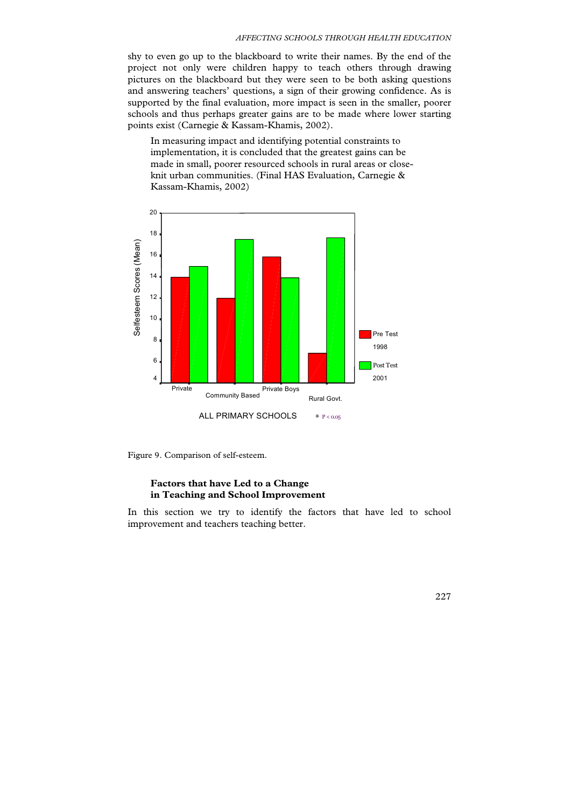# *AFFECTING SCHOOLS THROUGH HEALTH EDUCATION*

shy to even go up to the blackboard to write their names. By the end of the project not only were children happy to teach others through drawing pictures on the blackboard but they were seen to be both asking questions and answering teachers' questions, a sign of their growing confidence. As is supported by the final evaluation, more impact is seen in the smaller, poorer schools and thus perhaps greater gains are to be made where lower starting points exist (Carnegie & Kassam-Khamis, 2002).

In measuring impact and identifying potential constraints to implementation, it is concluded that the greatest gains can be made in small, poorer resourced schools in rural areas or closeknit urban communities. (Final HAS Evaluation, Carnegie & Kassam-Khamis, 2002)



Figure 9. Comparison of self-esteem.

# **Factors that have Led to a Change in Teaching and School Improvement**

In this section we try to identify the factors that have led to school improvement and teachers teaching better.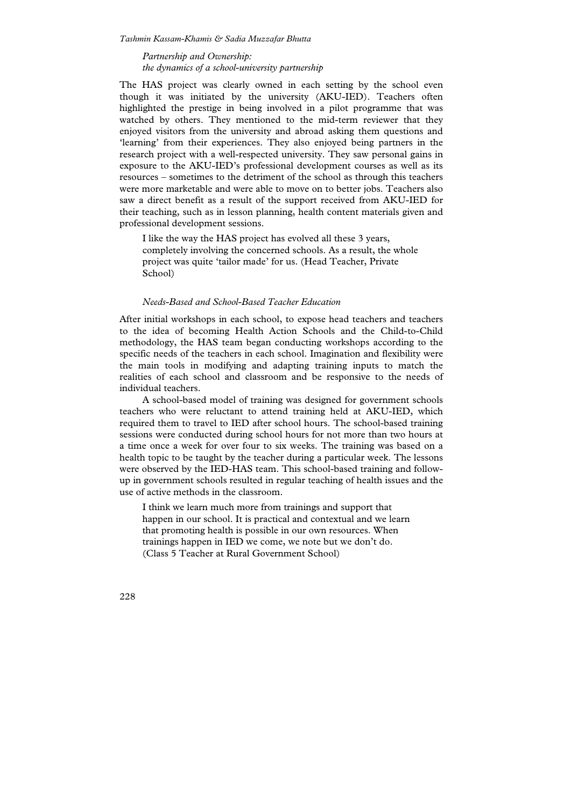*Partnership and Ownership: the dynamics of a school-university partnership* 

The HAS project was clearly owned in each setting by the school even though it was initiated by the university (AKU-IED). Teachers often highlighted the prestige in being involved in a pilot programme that was watched by others. They mentioned to the mid-term reviewer that they enjoyed visitors from the university and abroad asking them questions and 'learning' from their experiences. They also enjoyed being partners in the research project with a well-respected university. They saw personal gains in exposure to the AKU-IED's professional development courses as well as its resources – sometimes to the detriment of the school as through this teachers were more marketable and were able to move on to better jobs. Teachers also saw a direct benefit as a result of the support received from AKU-IED for their teaching, such as in lesson planning, health content materials given and professional development sessions.

I like the way the HAS project has evolved all these 3 years, completely involving the concerned schools. As a result, the whole project was quite 'tailor made' for us. (Head Teacher, Private School)

# *Needs-Based and School-Based Teacher Education*

After initial workshops in each school, to expose head teachers and teachers to the idea of becoming Health Action Schools and the Child-to-Child methodology, the HAS team began conducting workshops according to the specific needs of the teachers in each school. Imagination and flexibility were the main tools in modifying and adapting training inputs to match the realities of each school and classroom and be responsive to the needs of individual teachers.

A school-based model of training was designed for government schools teachers who were reluctant to attend training held at AKU-IED, which required them to travel to IED after school hours. The school-based training sessions were conducted during school hours for not more than two hours at a time once a week for over four to six weeks. The training was based on a health topic to be taught by the teacher during a particular week. The lessons were observed by the IED-HAS team. This school-based training and followup in government schools resulted in regular teaching of health issues and the use of active methods in the classroom.

I think we learn much more from trainings and support that happen in our school. It is practical and contextual and we learn that promoting health is possible in our own resources. When trainings happen in IED we come, we note but we don't do. (Class 5 Teacher at Rural Government School)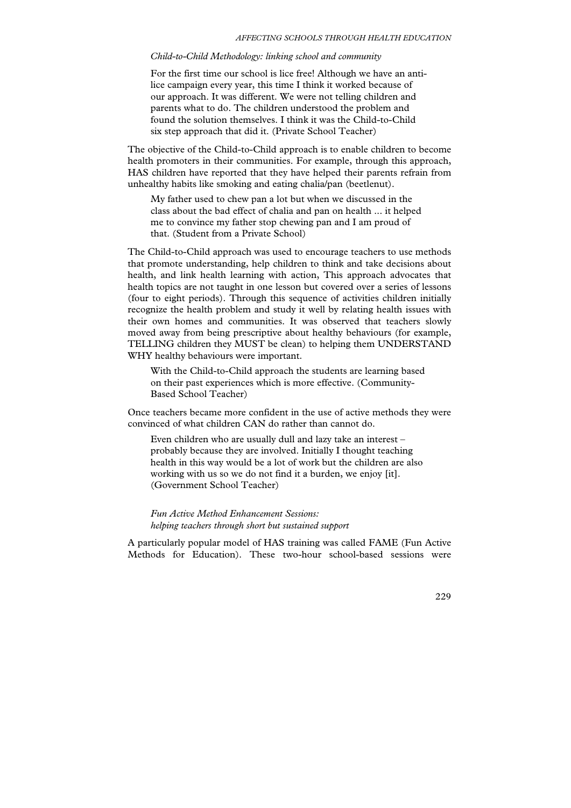#### *AFFECTING SCHOOLS THROUGH HEALTH EDUCATION*

# *Child-to-Child Methodology: linking school and community*

For the first time our school is lice free! Although we have an antilice campaign every year, this time I think it worked because of our approach. It was different. We were not telling children and parents what to do. The children understood the problem and found the solution themselves. I think it was the Child-to-Child six step approach that did it. (Private School Teacher)

The objective of the Child-to-Child approach is to enable children to become health promoters in their communities. For example, through this approach, HAS children have reported that they have helped their parents refrain from unhealthy habits like smoking and eating chalia/pan (beetlenut).

My father used to chew pan a lot but when we discussed in the class about the bad effect of chalia and pan on health ... it helped me to convince my father stop chewing pan and I am proud of that. (Student from a Private School)

The Child-to-Child approach was used to encourage teachers to use methods that promote understanding, help children to think and take decisions about health, and link health learning with action, This approach advocates that health topics are not taught in one lesson but covered over a series of lessons (four to eight periods). Through this sequence of activities children initially recognize the health problem and study it well by relating health issues with their own homes and communities. It was observed that teachers slowly moved away from being prescriptive about healthy behaviours (for example, TELLING children they MUST be clean) to helping them UNDERSTAND WHY healthy behaviours were important.

With the Child-to-Child approach the students are learning based on their past experiences which is more effective. (Community-Based School Teacher)

Once teachers became more confident in the use of active methods they were convinced of what children CAN do rather than cannot do.

Even children who are usually dull and lazy take an interest – probably because they are involved. Initially I thought teaching health in this way would be a lot of work but the children are also working with us so we do not find it a burden, we enjoy [it]. (Government School Teacher)

*Fun Active Method Enhancement Sessions: helping teachers through short but sustained support* 

A particularly popular model of HAS training was called FAME (Fun Active Methods for Education). These two-hour school-based sessions were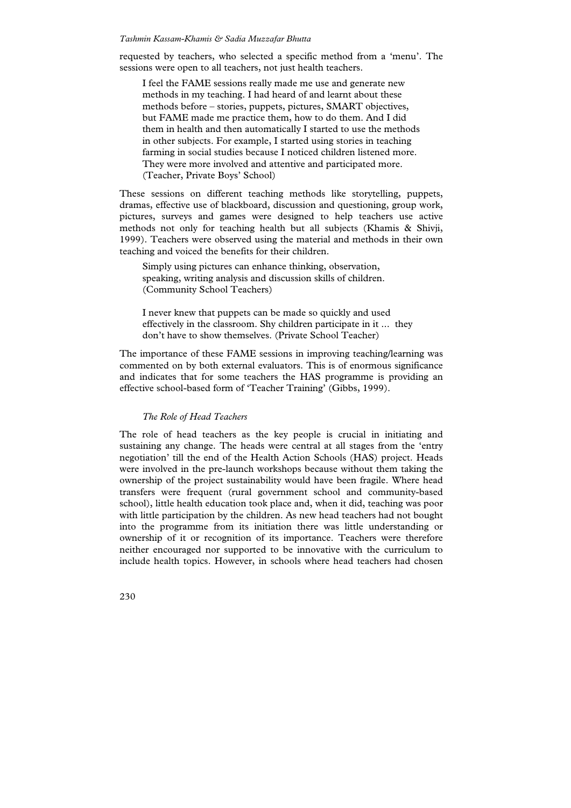requested by teachers, who selected a specific method from a 'menu'. The sessions were open to all teachers, not just health teachers.

I feel the FAME sessions really made me use and generate new methods in my teaching. I had heard of and learnt about these methods before – stories, puppets, pictures, SMART objectives, but FAME made me practice them, how to do them. And I did them in health and then automatically I started to use the methods in other subjects. For example, I started using stories in teaching farming in social studies because I noticed children listened more. They were more involved and attentive and participated more. (Teacher, Private Boys' School)

These sessions on different teaching methods like storytelling, puppets, dramas, effective use of blackboard, discussion and questioning, group work, pictures, surveys and games were designed to help teachers use active methods not only for teaching health but all subjects (Khamis & Shivji, 1999). Teachers were observed using the material and methods in their own teaching and voiced the benefits for their children.

Simply using pictures can enhance thinking, observation, speaking, writing analysis and discussion skills of children. (Community School Teachers)

I never knew that puppets can be made so quickly and used effectively in the classroom. Shy children participate in it ... they don't have to show themselves. (Private School Teacher)

The importance of these FAME sessions in improving teaching/learning was commented on by both external evaluators. This is of enormous significance and indicates that for some teachers the HAS programme is providing an effective school-based form of 'Teacher Training' (Gibbs, 1999).

# *The Role of Head Teachers*

The role of head teachers as the key people is crucial in initiating and sustaining any change. The heads were central at all stages from the 'entry negotiation' till the end of the Health Action Schools (HAS) project. Heads were involved in the pre-launch workshops because without them taking the ownership of the project sustainability would have been fragile. Where head transfers were frequent (rural government school and community-based school), little health education took place and, when it did, teaching was poor with little participation by the children. As new head teachers had not bought into the programme from its initiation there was little understanding or ownership of it or recognition of its importance. Teachers were therefore neither encouraged nor supported to be innovative with the curriculum to include health topics. However, in schools where head teachers had chosen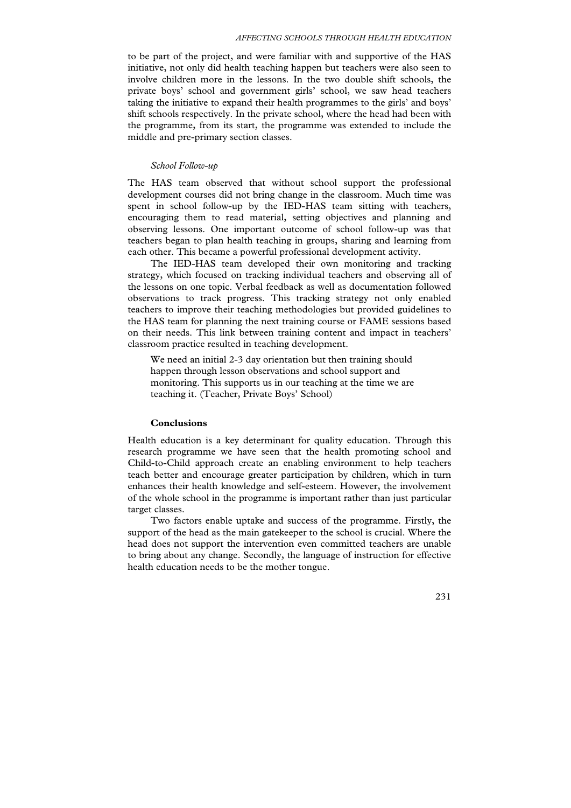# *AFFECTING SCHOOLS THROUGH HEALTH EDUCATION*

to be part of the project, and were familiar with and supportive of the HAS initiative, not only did health teaching happen but teachers were also seen to involve children more in the lessons. In the two double shift schools, the private boys' school and government girls' school, we saw head teachers taking the initiative to expand their health programmes to the girls' and boys' shift schools respectively. In the private school, where the head had been with the programme, from its start, the programme was extended to include the middle and pre-primary section classes.

#### *School Follow-up*

The HAS team observed that without school support the professional development courses did not bring change in the classroom. Much time was spent in school follow-up by the IED-HAS team sitting with teachers, encouraging them to read material, setting objectives and planning and observing lessons. One important outcome of school follow-up was that teachers began to plan health teaching in groups, sharing and learning from each other. This became a powerful professional development activity.

The IED-HAS team developed their own monitoring and tracking strategy, which focused on tracking individual teachers and observing all of the lessons on one topic. Verbal feedback as well as documentation followed observations to track progress. This tracking strategy not only enabled teachers to improve their teaching methodologies but provided guidelines to the HAS team for planning the next training course or FAME sessions based on their needs. This link between training content and impact in teachers' classroom practice resulted in teaching development.

We need an initial 2-3 day orientation but then training should happen through lesson observations and school support and monitoring. This supports us in our teaching at the time we are teaching it. (Teacher, Private Boys' School)

#### **Conclusions**

Health education is a key determinant for quality education. Through this research programme we have seen that the health promoting school and Child-to-Child approach create an enabling environment to help teachers teach better and encourage greater participation by children, which in turn enhances their health knowledge and self-esteem. However, the involvement of the whole school in the programme is important rather than just particular target classes.

Two factors enable uptake and success of the programme. Firstly, the support of the head as the main gatekeeper to the school is crucial. Where the head does not support the intervention even committed teachers are unable to bring about any change. Secondly, the language of instruction for effective health education needs to be the mother tongue.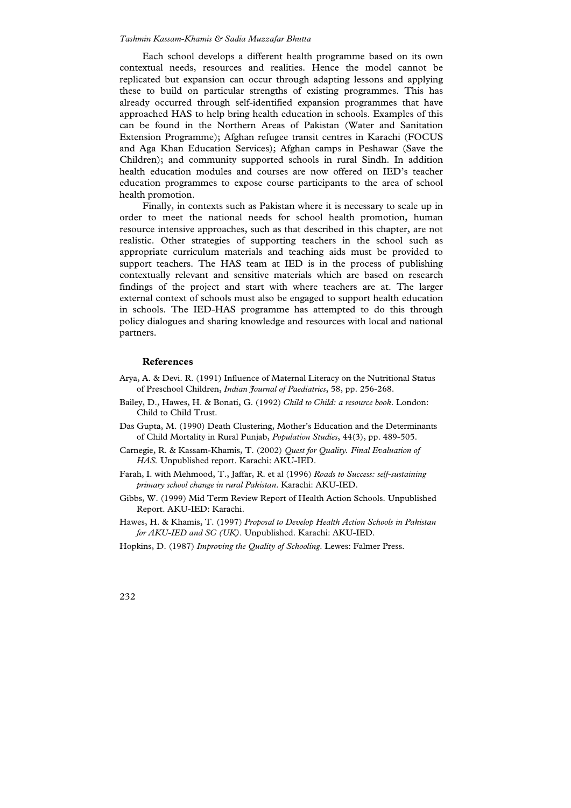Each school develops a different health programme based on its own contextual needs, resources and realities. Hence the model cannot be replicated but expansion can occur through adapting lessons and applying these to build on particular strengths of existing programmes. This has already occurred through self-identified expansion programmes that have approached HAS to help bring health education in schools. Examples of this can be found in the Northern Areas of Pakistan (Water and Sanitation Extension Programme); Afghan refugee transit centres in Karachi (FOCUS and Aga Khan Education Services); Afghan camps in Peshawar (Save the Children); and community supported schools in rural Sindh. In addition health education modules and courses are now offered on IED's teacher education programmes to expose course participants to the area of school health promotion.

Finally, in contexts such as Pakistan where it is necessary to scale up in order to meet the national needs for school health promotion, human resource intensive approaches, such as that described in this chapter, are not realistic. Other strategies of supporting teachers in the school such as appropriate curriculum materials and teaching aids must be provided to support teachers. The HAS team at IED is in the process of publishing contextually relevant and sensitive materials which are based on research findings of the project and start with where teachers are at. The larger external context of schools must also be engaged to support health education in schools. The IED-HAS programme has attempted to do this through policy dialogues and sharing knowledge and resources with local and national partners.

# **References**

- Arya, A. & Devi. R. (1991) Influence of Maternal Literacy on the Nutritional Status of Preschool Children, *Indian Journal of Paediatrics*, 58, pp. 256-268.
- Bailey, D., Hawes, H. & Bonati, G. (1992) *Child to Child: a resource book*. London: Child to Child Trust.
- Das Gupta, M. (1990) Death Clustering, Mother's Education and the Determinants of Child Mortality in Rural Punjab, *Population Studies*, 44(3), pp. 489-505.
- Carnegie, R. & Kassam-Khamis, T. (2002) *Quest for Quality. Final Evaluation of HAS.* Unpublished report. Karachi: AKU-IED.
- Farah, I. with Mehmood, T., Jaffar, R. et al (1996) *Roads to Success: self-sustaining primary school change in rural Pakistan*. Karachi: AKU-IED.
- Gibbs, W. (1999) Mid Term Review Report of Health Action Schools. Unpublished Report. AKU-IED: Karachi.
- Hawes, H. & Khamis, T. (1997) *Proposal to Develop Health Action Schools in Pakistan for AKU-IED and SC (UK)*. Unpublished. Karachi: AKU-IED.
- Hopkins, D. (1987) *Improving the Quality of Schooling*. Lewes: Falmer Press.